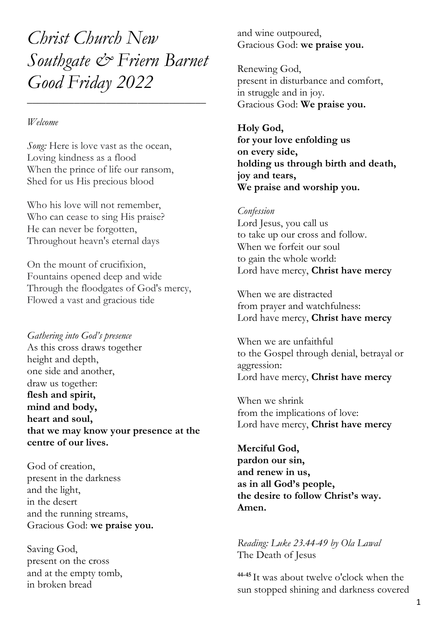*Christ Church New Southgate & Friern Barnet Good Friday 2022*

\_\_\_\_\_\_\_\_\_\_\_\_\_\_\_\_\_\_\_\_\_\_\_\_\_\_\_\_\_\_\_\_\_\_

#### *Welcome*

*Song:* Here is love vast as the ocean, Loving kindness as a flood When the prince of life our ransom, Shed for us His precious blood

Who his love will not remember, Who can cease to sing His praise? He can never be forgotten, Throughout heavn's eternal days

On the mount of crucifixion, Fountains opened deep and wide Through the floodgates of God's mercy, Flowed a vast and gracious tide

*Gathering into God's presence* As this cross draws together height and depth, one side and another, draw us together: **flesh and spirit, mind and body, heart and soul, that we may know your presence at the centre of our lives.**

God of creation, present in the darkness and the light, in the desert and the running streams, Gracious God: **we praise you.**

Saving God, present on the cross and at the empty tomb, in broken bread

and wine outpoured, Gracious God: **we praise you.**

Renewing God, present in disturbance and comfort, in struggle and in joy. Gracious God: **We praise you.**

### **Holy God,**

**for your love enfolding us on every side, holding us through birth and death, joy and tears, We praise and worship you.**

### *Confession*

Lord Jesus, you call us to take up our cross and follow. When we forfeit our soul to gain the whole world: Lord have mercy, **Christ have mercy**

When we are distracted from prayer and watchfulness: Lord have mercy, **Christ have mercy**

When we are unfaithful to the Gospel through denial, betrayal or aggression: Lord have mercy, **Christ have mercy**

When we shrink from the implications of love: Lord have mercy, **Christ have mercy**

**Merciful God, pardon our sin, and renew in us, as in all God's people, the desire to follow Christ's way. Amen.**

*Reading: Luke 23.44-49 by Ola Lawal* The Death of Jesus

**44-45** It was about twelve o'clock when the sun stopped shining and darkness covered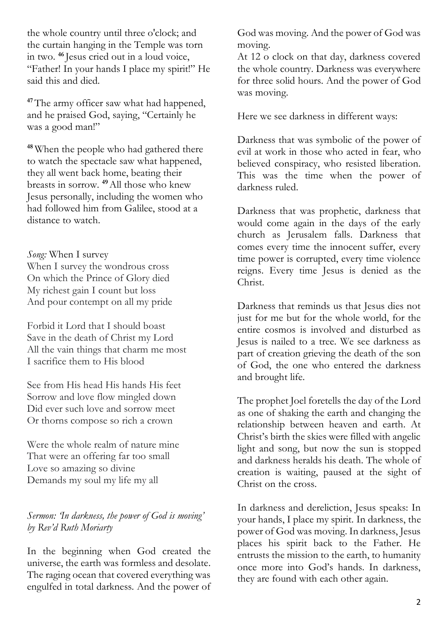the whole country until three o'clock; and the curtain hanging in the Temple was torn in two. **<sup>46</sup>** Jesus cried out in a loud voice, "Father! In your hands I place my spirit!" He said this and died.

<sup>47</sup>The army officer saw what had happened, and he praised God, saying, "Certainly he was a good man!"

**<sup>48</sup>** When the people who had gathered there to watch the spectacle saw what happened, they all went back home, beating their breasts in sorrow. **<sup>49</sup>**All those who knew Jesus personally, including the women who had followed him from Galilee, stood at a distance to watch.

*Song:* When I survey When I survey the wondrous cross On which the Prince of Glory died My richest gain I count but loss And pour contempt on all my pride

Forbid it Lord that I should boast Save in the death of Christ my Lord All the vain things that charm me most I sacrifice them to His blood

See from His head His hands His feet Sorrow and love flow mingled down Did ever such love and sorrow meet Or thorns compose so rich a crown

Were the whole realm of nature mine That were an offering far too small Love so amazing so divine Demands my soul my life my all

# *Sermon: 'In darkness, the power of God is moving' by Rev'd Ruth Moriarty*

In the beginning when God created the universe, the earth was formless and desolate. The raging ocean that covered everything was engulfed in total darkness. And the power of God was moving. And the power of God was moving.

At 12 o clock on that day, darkness covered the whole country. Darkness was everywhere for three solid hours. And the power of God was moving.

Here we see darkness in different ways:

Darkness that was symbolic of the power of evil at work in those who acted in fear, who believed conspiracy, who resisted liberation. This was the time when the power of darkness ruled.

Darkness that was prophetic, darkness that would come again in the days of the early church as Jerusalem falls. Darkness that comes every time the innocent suffer, every time power is corrupted, every time violence reigns. Every time Jesus is denied as the Christ.

Darkness that reminds us that Jesus dies not just for me but for the whole world, for the entire cosmos is involved and disturbed as Jesus is nailed to a tree. We see darkness as part of creation grieving the death of the son of God, the one who entered the darkness and brought life.

The prophet Joel foretells the day of the Lord as one of shaking the earth and changing the relationship between heaven and earth. At Christ's birth the skies were filled with angelic light and song, but now the sun is stopped and darkness heralds his death. The whole of creation is waiting, paused at the sight of Christ on the cross.

In darkness and dereliction, Jesus speaks: In your hands, I place my spirit. In darkness, the power of God was moving. In darkness, Jesus places his spirit back to the Father. He entrusts the mission to the earth, to humanity once more into God's hands. In darkness, they are found with each other again.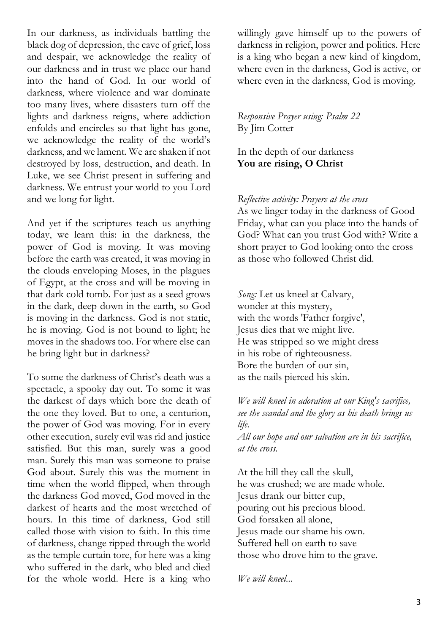In our darkness, as individuals battling the black dog of depression, the cave of grief, loss and despair, we acknowledge the reality of our darkness and in trust we place our hand into the hand of God. In our world of darkness, where violence and war dominate too many lives, where disasters turn off the lights and darkness reigns, where addiction enfolds and encircles so that light has gone, we acknowledge the reality of the world's darkness, and we lament. We are shaken if not destroyed by loss, destruction, and death. In Luke, we see Christ present in suffering and darkness. We entrust your world to you Lord and we long for light.

And yet if the scriptures teach us anything today, we learn this: in the darkness, the power of God is moving. It was moving before the earth was created, it was moving in the clouds enveloping Moses, in the plagues of Egypt, at the cross and will be moving in that dark cold tomb. For just as a seed grows in the dark, deep down in the earth, so God is moving in the darkness. God is not static, he is moving. God is not bound to light; he moves in the shadows too. For where else can he bring light but in darkness?

To some the darkness of Christ's death was a spectacle, a spooky day out. To some it was the darkest of days which bore the death of the one they loved. But to one, a centurion, the power of God was moving. For in every other execution, surely evil was rid and justice satisfied. But this man, surely was a good man. Surely this man was someone to praise God about. Surely this was the moment in time when the world flipped, when through the darkness God moved, God moved in the darkest of hearts and the most wretched of hours. In this time of darkness, God still called those with vision to faith. In this time of darkness, change ripped through the world as the temple curtain tore, for here was a king who suffered in the dark, who bled and died for the whole world. Here is a king who

willingly gave himself up to the powers of darkness in religion, power and politics. Here is a king who began a new kind of kingdom, where even in the darkness, God is active, or where even in the darkness, God is moving.

## *Responsive Prayer using: Psalm 22*  By Jim Cotter

In the depth of our darkness **You are rising, O Christ**

## *Reflective activity: Prayers at the cross*

As we linger today in the darkness of Good Friday, what can you place into the hands of God? What can you trust God with? Write a short prayer to God looking onto the cross as those who followed Christ did.

*Song:* Let us kneel at Calvary, wonder at this mystery, with the words 'Father forgive', Jesus dies that we might live. He was stripped so we might dress in his robe of righteousness. Bore the burden of our sin, as the nails pierced his skin.

*We will kneel in adoration at our King's sacrifice, see the scandal and the glory as his death brings us life.*

*All our hope and our salvation are in his sacrifice, at the cross.*

At the hill they call the skull, he was crushed; we are made whole. Jesus drank our bitter cup, pouring out his precious blood. God forsaken all alone, Jesus made our shame his own. Suffered hell on earth to save those who drove him to the grave.

*We will kneel...*